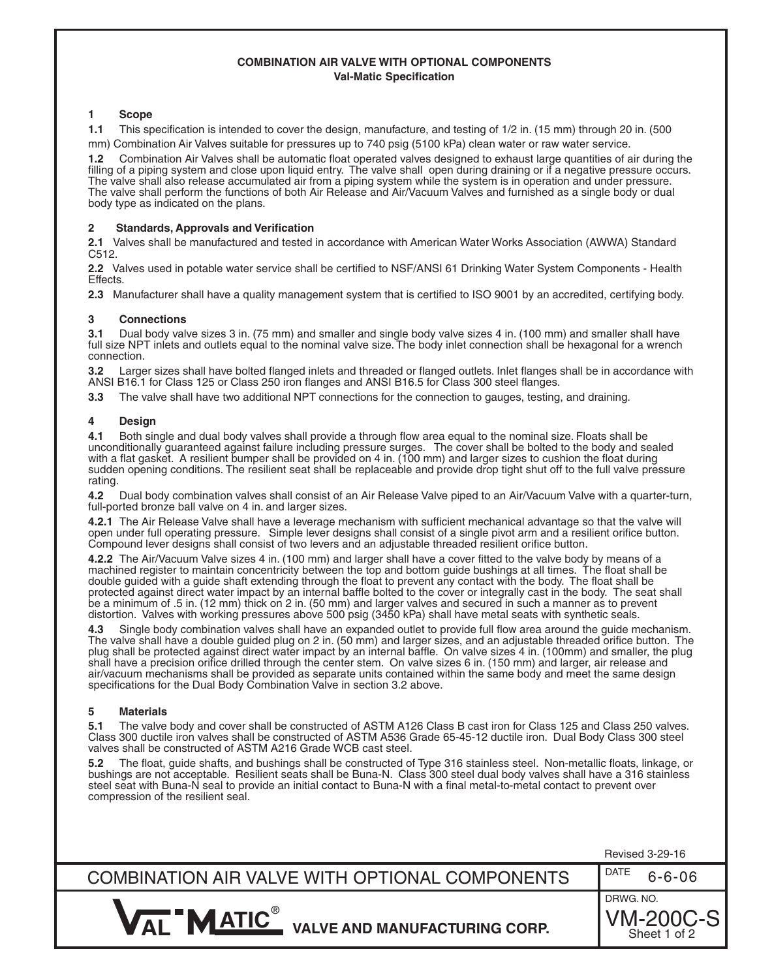## **COMBINATION AIR VALVE WITH OPTIONAL COMPONENTS Val-Matic Specification**

### **1 Scope**

**1.1** This specification is intended to cover the design, manufacture, and testing of 1/2 in. (15 mm) through 20 in. (500 mm) Combination Air Valves suitable for pressures up to 740 psig (5100 kPa) clean water or raw water service.

**1.2** Combination Air Valves shall be automatic float operated valves designed to exhaust large quantities of air during the filling of a piping system and close upon liquid entry. The valve shall open during draining or if a negative pressure occurs. The valve shall also release accumulated air from a piping system while the system is in operation and under pressure. The valve shall perform the functions of both Air Release and Air/Vacuum Valves and furnished as a single body or dual body type as indicated on the plans.

### **2 Standards, Approvals and Verification**

**2.1** Valves shall be manufactured and tested in accordance with American Water Works Association (AWWA) Standard C512.

**2.2** Valves used in potable water service shall be certified to NSF/ANSI 61 Drinking Water System Components - Health Effects.

**2.3** Manufacturer shall have a quality management system that is certified to ISO 9001 by an accredited, certifying body.

### **3 Connections**

**3.1** Dual body valve sizes 3 in. (75 mm) and smaller and single body valve sizes 4 in. (100 mm) and smaller shall have full size NPT inlets and outlets equal to the nominal valve size. The body inlet connection shall be hexagonal for a wrench connection.

**3.2** Larger sizes shall have bolted flanged inlets and threaded or flanged outlets. Inlet flanges shall be in accordance with ANSI B16.1 for Class 125 or Class 250 iron flanges and ANSI B16.5 for Class 300 steel flanges.

**3.3** The valve shall have two additional NPT connections for the connection to gauges, testing, and draining.

### **4 Design**

**4.1** Both single and dual body valves shall provide a through flow area equal to the nominal size. Floats shall be unconditionally guaranteed against failure including pressure surges. The cover shall be bolted to the body and sealed with a flat gasket. A resilient bumper shall be provided on 4 in. (100 mm) and larger sizes to cushion the float during sudden opening conditions. The resilient seat shall be replaceable and provide drop tight shut off to the full valve pressure rating.

**4.2** Dual body combination valves shall consist of an Air Release Valve piped to an Air/Vacuum Valve with a quarter-turn, full-ported bronze ball valve on 4 in. and larger sizes.

**4.2.1** The Air Release Valve shall have a leverage mechanism with sufficient mechanical advantage so that the valve will open under full operating pressure. Simple lever designs shall consist of a single pivot arm and a resilient orifice button. Compound lever designs shall consist of two levers and an adjustable threaded resilient orifice button.

**4.2.2** The Air/Vacuum Valve sizes 4 in. (100 mm) and larger shall have a cover fitted to the valve body by means of a machined register to maintain concentricity between the top and bottom guide bushings at all times. The float shall be double guided with a guide shaft extending through the float to prevent any contact with the body. The float shall be protected against direct water impact by an internal baffle bolted to the cover or integrally cast in the body. The seat shall be a minimum of .5 in. (12 mm) thick on 2 in. (50 mm) and larger valves and secured in such a manner as to prevent distortion. Valves with working pressures above 500 psig (3450 kPa) shall have metal seats with synthetic seals.

**4.3** Single body combination valves shall have an expanded outlet to provide full flow area around the guide mechanism. The valve shall have a double guided plug on 2 in. (50 mm) and larger sizes, and an adjustable threaded orifice button. The plug shall be protected against direct water impact by an internal baffle. On valve sizes 4 in. (100mm) and smaller, the plug shall have a precision orifice drilled through the center stem. On valve sizes 6 in. (150 mm) and larger, air release and air/vacuum mechanisms shall be provided as separate units contained within the same body and meet the same design specifications for the Dual Body Combination Valve in section 3.2 above.

### **5 Materials**

**5.1** The valve body and cover shall be constructed of ASTM A126 Class B cast iron for Class 125 and Class 250 valves. Class 300 ductile iron valves shall be constructed of ASTM A536 Grade 65-45-12 ductile iron. Dual Body Class 300 steel valves shall be constructed of ASTM A216 Grade WCB cast steel.

**5.2** The float, guide shafts, and bushings shall be constructed of Type 316 stainless steel. Non-metallic floats, linkage, or bushings are not acceptable. Resilient seats shall be Buna-N. Class 300 steel dual body valves shall have a 316 stainless steel seat with Buna-N seal to provide an initial contact to Buna-N with a final metal-to-metal contact to prevent over compression of the resilient seal.

|                                                                                             | Revised 3-29-16                        |
|---------------------------------------------------------------------------------------------|----------------------------------------|
| COMBINATION AIR VALVE WITH OPTIONAL COMPONENTS                                              | DATE<br>$6 - 6 - 06$                   |
| $\mathbf{V}_{\mathbf{A}\mathsf{I}}$ "Matic $^\circ$<br><b>VALVE AND MANUFACTURING CORP.</b> | DRWG. NO.<br>VM-200C-S<br>Sheet 1 of 2 |